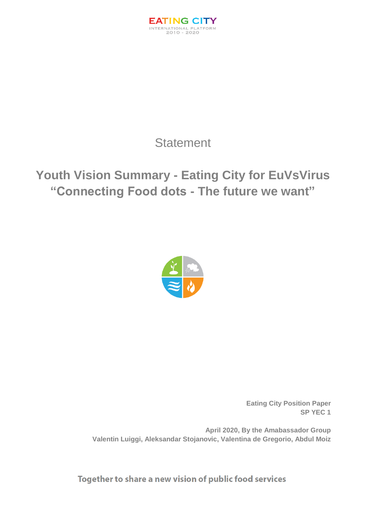

## **Statement**

# **Youth Vision Summary - Eating City for EuVsVirus "Connecting Food dots - The future we want"**



**Eating City Position Paper SP YEC 1**

**April 2020, By the Amabassador Group Valentin Luiggi, Aleksandar Stojanovic, Valentina de Gregorio, Abdul Moiz**

Together to share a new vision of public food services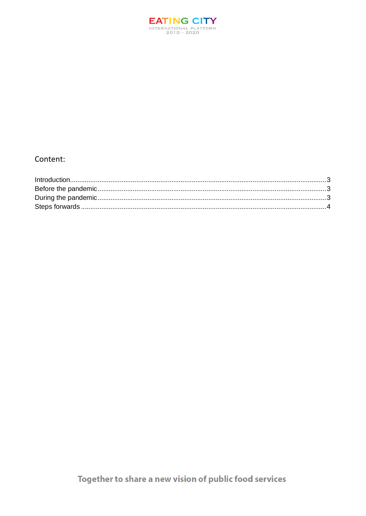

### Content: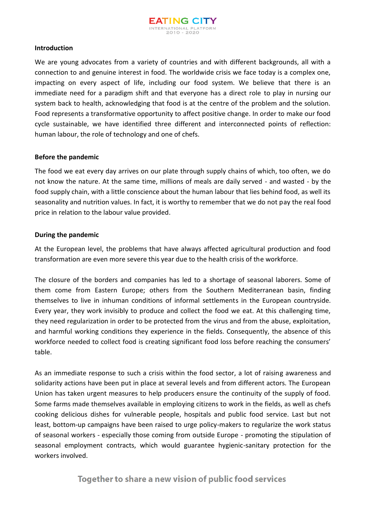

#### <span id="page-2-0"></span>**Introduction**

We are young advocates from a variety of countries and with different backgrounds, all with a connection to and genuine interest in food. The worldwide crisis we face today is a complex one, impacting on every aspect of life, including our food system. We believe that there is an immediate need for a paradigm shift and that everyone has a direct role to play in nursing our system back to health, acknowledging that food is at the centre of the problem and the solution. Food represents a transformative opportunity to affect positive change. In order to make our food cycle sustainable, we have identified three different and interconnected points of reflection: human labour, the role of technology and one of chefs.

#### <span id="page-2-1"></span>**Before the pandemic**

The food we eat every day arrives on our plate through supply chains of which, too often, we do not know the nature. At the same time, millions of meals are daily served - and wasted - by the food supply chain, with a little conscience about the human labour that lies behind food, as well its seasonality and nutrition values. In fact, it is worthy to remember that we do not pay the real food price in relation to the labour value provided.

#### <span id="page-2-2"></span>**During the pandemic**

At the European level, the problems that have always affected agricultural production and food transformation are even more severe this year due to the health crisis of the workforce.

The closure of the borders and companies has led to a shortage of seasonal laborers. Some of them come from Eastern Europe; others from the Southern Mediterranean basin, finding themselves to live in inhuman conditions of informal settlements in the European countryside. Every year, they work invisibly to produce and collect the food we eat. At this challenging time, they need regularization in order to be protected from the virus and from the abuse, exploitation, and harmful working conditions they experience in the fields. Consequently, the absence of this workforce needed to collect food is creating significant food loss before reaching the consumers' table.

As an immediate response to such a crisis within the food sector, a lot of raising awareness and solidarity actions have been put in place at several levels and from different actors. The European Union has taken urgent measures to help producers ensure the continuity of the supply of food. Some farms made themselves available in employing citizens to work in the fields, as well as chefs cooking delicious dishes for vulnerable people, hospitals and public food service. Last but not least, bottom-up campaigns have been raised to urge policy-makers to regularize the work status of seasonal workers - especially those coming from outside Europe - promoting the stipulation of seasonal employment contracts, which would guarantee hygienic-sanitary protection for the workers involved.

## Together to share a new vision of public food services